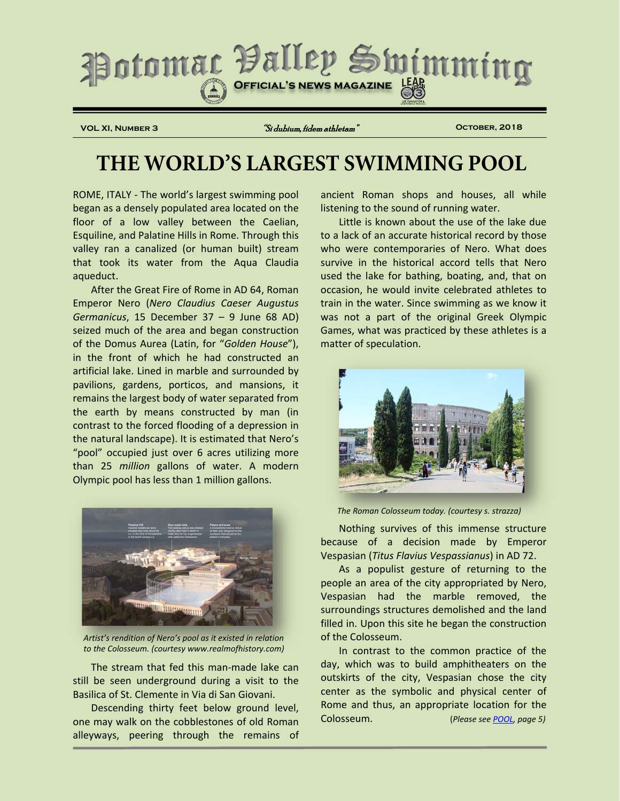

**VOL XI, Number 3** "Si dubium, fidem athletam" **October, 2018**

# **THE WORLD'S LARGEST SWIMMING POOL**

ROME, ITALY - The world's largest swimming pool began as a densely populated area located on the floor of a low valley between the Caelian, Esquiline, and Palatine Hills in Rome. Through this valley ran a canalized (or human built) stream that took its water from the Aqua Claudia aqueduct.

After the Great Fire of Rome in AD 64, Roman Emperor Nero (*Nero Claudius Caeser Augustus Germanicus*, 15 December 37 – 9 June 68 AD) seized much of the area and began construction of the Domus Aurea (Latin, for "*Golden House*"), in the front of which he had constructed an artificial lake. Lined in marble and surrounded by pavilions, gardens, porticos, and mansions, it remains the largest body of water separated from the earth by means constructed by man (in contrast to the forced flooding of a depression in the natural landscape). It is estimated that Nero's "pool" occupied just over 6 acres utilizing more than 25 *million* gallons of water. A modern Olympic pool has less than 1 million gallons.



*Artist's rendition of Nero's pool as it existed in relation to the Colosseum. (courtesy www.realmofhistory.com)*

The stream that fed this man-made lake can still be seen underground during a visit to the Basilica of St. Clemente in Via di San Giovani.

Descending thirty feet below ground level, one may walk on the cobblestones of old Roman alleyways, peering through the remains of ancient Roman shops and houses, all while listening to the sound of running water.

Little is known about the use of the lake due to a lack of an accurate historical record by those who were contemporaries of Nero. What does survive in the historical accord tells that Nero used the lake for bathing, boating, and, that on occasion, he would invite celebrated athletes to train in the water. Since swimming as we know it was not a part of the original Greek Olympic Games, what was practiced by these athletes is a matter of speculation.



*The Roman Colosseum today. (courtesy s. strazza)*

Nothing survives of this immense structure because of a decision made by Emperor Vespasian (*Titus Flavius Vespassianus*) in AD 72.

As a populist gesture of returning to the people an area of the city appropriated by Nero, Vespasian had the marble removed, the surroundings structures demolished and the land filled in. Upon this site he began the construction of the Colosseum.

In contrast to the common practice of the day, which was to build amphitheaters on the outskirts of the city, Vespasian chose the city center as the symbolic and physical center of Rome and thus, an appropriate location for the Colosseum. (*Please see [POOL,](#page-4-0) page 5)*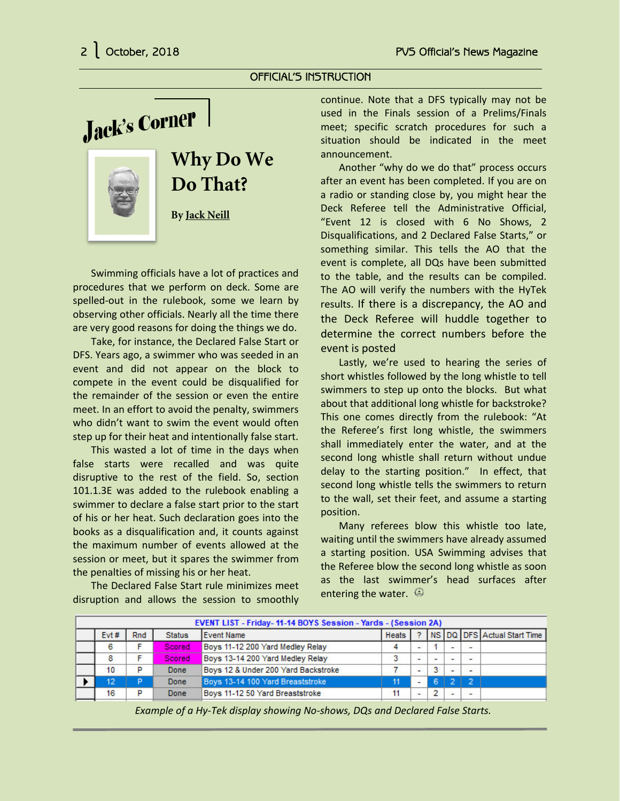OFFICIAL'S INSTRUCTION

Jack's Corner



# **Why Do We Do That?**

**By Jack Neill**

Swimming officials have a lot of practices and procedures that we perform on deck. Some are spelled-out in the rulebook, some we learn by observing other officials. Nearly all the time there are very good reasons for doing the things we do.

Take, for instance, the Declared False Start or DFS. Years ago, a swimmer who was seeded in an event and did not appear on the block to compete in the event could be disqualified for the remainder of the session or even the entire meet. In an effort to avoid the penalty, swimmers who didn't want to swim the event would often step up for their heat and intentionally false start.

This wasted a lot of time in the days when false starts were recalled and was quite disruptive to the rest of the field. So, section 101.1.3E was added to the rulebook enabling a swimmer to declare a false start prior to the start of his or her heat. Such declaration goes into the books as a disqualification and, it counts against the maximum number of events allowed at the session or meet, but it spares the swimmer from the penalties of missing his or her heat.

The Declared False Start rule minimizes meet disruption and allows the session to smoothly continue. Note that a DFS typically may not be used in the Finals session of a Prelims/Finals meet; specific scratch procedures for such a situation should be indicated in the meet announcement.

Another "why do we do that" process occurs after an event has been completed. If you are on a radio or standing close by, you might hear the Deck Referee tell the Administrative Official, "Event 12 is closed with 6 No Shows, 2 Disqualifications, and 2 Declared False Starts," or something similar. This tells the AO that the event is complete, all DQs have been submitted to the table, and the results can be compiled. The AO will verify the numbers with the HyTek results. If there is a discrepancy, the AO and the Deck Referee will huddle together to determine the correct numbers before the event is posted

Lastly, we're used to hearing the series of short whistles followed by the long whistle to tell swimmers to step up onto the blocks. But what about that additional long whistle for backstroke? This one comes directly from the rulebook: "At the Referee's first long whistle, the swimmers shall immediately enter the water, and at the second long whistle shall return without undue delay to the starting position." In effect, that second long whistle tells the swimmers to return to the wall, set their feet, and assume a starting position.

Many referees blow this whistle too late, waiting until the swimmers have already assumed a starting position. USA Swimming advises that the Referee blow the second long whistle as soon as the last swimmer's head surfaces after entering the water.  $\circledcirc$ 

| EVENT LIST - Friday-11-14 BOYS Session - Yards - (Session 2A) |      |     |               |                                     |              |   |   |  |                          |                             |
|---------------------------------------------------------------|------|-----|---------------|-------------------------------------|--------------|---|---|--|--------------------------|-----------------------------|
|                                                               | Evt# | Rnd | <b>Status</b> | <b>Event Name</b>                   | <b>Heats</b> |   |   |  |                          | NS DQ DFS Actual Start Time |
|                                                               | 6    |     | Scored        | Boys 11-12 200 Yard Medley Relay    |              | ٠ |   |  | $\overline{\phantom{0}}$ |                             |
|                                                               | 8    |     | <b>Scored</b> | Boys 13-14 200 Yard Medley Relay    | 3            | × | ÷ |  | $\overline{\phantom{a}}$ |                             |
|                                                               | 10   | P   | Done          | Boys 12 & Under 200 Yard Backstroke |              | ÷ | 3 |  | $\overline{\phantom{a}}$ |                             |
|                                                               | 12   | P   | Done          | Boys 13-14 100 Yard Breaststroke    | 11           | ۳ | 6 |  | - 27                     |                             |
|                                                               | 16   | P   | Done          | Boys 11-12 50 Yard Breaststroke     | 11           | ٠ |   |  | $\overline{\phantom{a}}$ |                             |
|                                                               |      |     |               |                                     |              |   |   |  |                          |                             |

*Example of a Hy-Tek display showing No-shows, DQs and Declared False Starts.*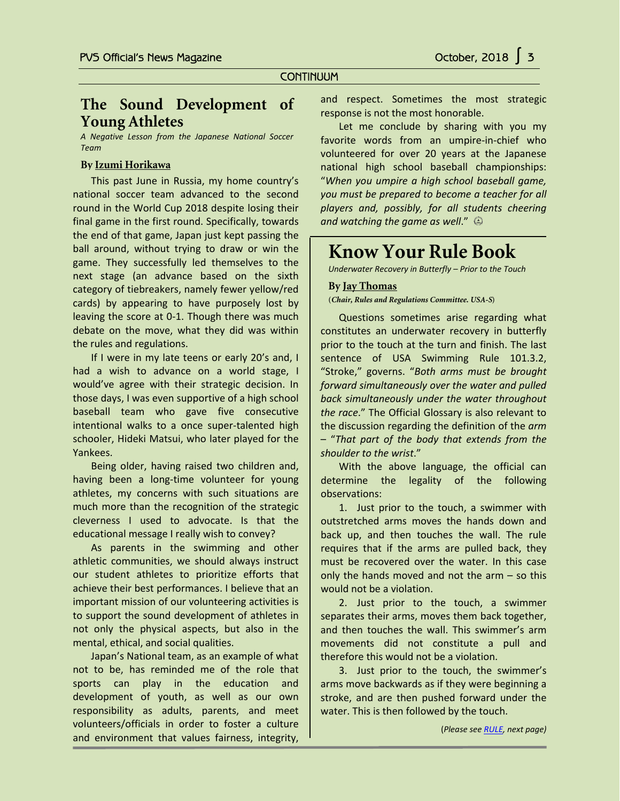#### **CONTINUUM**

### **The Sound Development of Young Athletes**

*A Negative Lesson from the Japanese National Soccer Team*

#### **By Izumi Horikawa**

Ī

This past June in Russia, my home country's national soccer team advanced to the second round in the World Cup 2018 despite losing their final game in the first round. Specifically, towards the end of that game, Japan just kept passing the ball around, without trying to draw or win the game. They successfully led themselves to the next stage (an advance based on the sixth category of tiebreakers, namely fewer yellow/red cards) by appearing to have purposely lost by leaving the score at 0-1. Though there was much debate on the move, what they did was within the rules and regulations.

If I were in my late teens or early 20's and, I had a wish to advance on a world stage, I would've agree with their strategic decision. In those days, I was even supportive of a high school baseball team who gave five consecutive intentional walks to a once super-talented high schooler, Hideki Matsui, who later played for the Yankees.

Being older, having raised two children and, having been a long-time volunteer for young athletes, my concerns with such situations are much more than the recognition of the strategic cleverness I used to advocate. Is that the educational message I really wish to convey?

As parents in the swimming and other athletic communities, we should always instruct our student athletes to prioritize efforts that achieve their best performances. I believe that an important mission of our volunteering activities is to support the sound development of athletes in not only the physical aspects, but also in the mental, ethical, and social qualities.

Japan's National team, as an example of what not to be, has reminded me of the role that sports can play in the education and development of youth, as well as our own responsibility as adults, parents, and meet volunteers/officials in order to foster a culture and environment that values fairness, integrity,

and respect. Sometimes the most strategic response is not the most honorable.

Let me conclude by sharing with you my favorite words from an umpire-in-chief who volunteered for over 20 years at the Japanese national high school baseball championships: "*When you umpire a high school baseball game, you must be prepared to become a teacher for all players and, possibly, for all students cheering and watching the game as well*."

## **Know Your Rule Book**

*Underwater Recovery in Butterfly – Prior to the Touch*

#### **By Jay Thomas**

**(***Chair, Rules and Regulations Committee. USA-S***)**

Questions sometimes arise regarding what constitutes an underwater recovery in butterfly prior to the touch at the turn and finish. The last sentence of USA Swimming Rule 101.3.2, "Stroke," governs. "*Both arms must be brought forward simultaneously over the water and pulled back simultaneously under the water throughout the race*." The Official Glossary is also relevant to the discussion regarding the definition of the *arm* – "*That part of the body that extends from the shoulder to the wrist*."

With the above language, the official can determine the legality of the following observations:

1. Just prior to the touch, a swimmer with outstretched arms moves the hands down and back up, and then touches the wall. The rule requires that if the arms are pulled back, they must be recovered over the water. In this case only the hands moved and not the arm – so this would not be a violation.

2. Just prior to the touch, a swimmer separates their arms, moves them back together, and then touches the wall. This swimmer's arm movements did not constitute a pull and therefore this would not be a violation.

3. Just prior to the touch, the swimmer's arms move backwards as if they were beginning a stroke, and are then pushed forward under the water. This is then followed by the touch.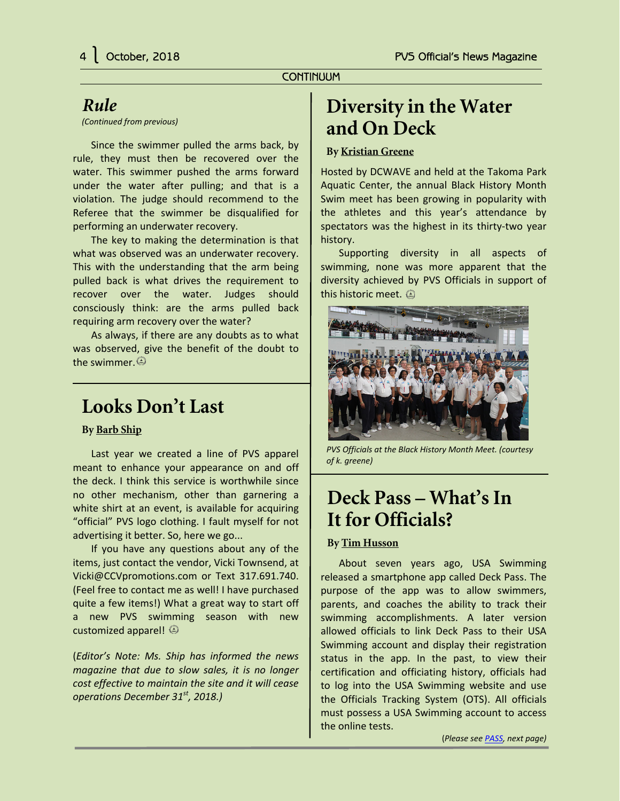### **CONTINUUM**

## <span id="page-3-0"></span>*Rule*

*(Continued from previous)*

Since the swimmer pulled the arms back, by rule, they must then be recovered over the water. This swimmer pushed the arms forward under the water after pulling; and that is a violation. The judge should recommend to the Referee that the swimmer be disqualified for performing an underwater recovery.

The key to making the determination is that what was observed was an underwater recovery. This with the understanding that the arm being pulled back is what drives the requirement to recover over the water. Judges should consciously think: are the arms pulled back requiring arm recovery over the water?

As always, if there are any doubts as to what was observed, give the benefit of the doubt to the swimmer.

## **Looks Don't Last**

### **By Barb Ship**

Last year we created a line of PVS apparel meant to enhance your appearance on and off the deck. I think this service is worthwhile since no other mechanism, other than garnering a white shirt at an event, is available for acquiring "official" PVS logo clothing. I fault myself for not advertising it better. So, here we go...

If you have any questions about any of the items, just contact the vendor, Vicki Townsend, at Vicki@CCVpromotions.com or Text 317.691.740. (Feel free to contact me as well! I have purchased quite a few items!) What a great way to start off a new PVS swimming season with new customized apparel!

(*Editor's Note: Ms. Ship has informed the news magazine that due to slow sales, it is no longer cost effective to maintain the site and it will cease operations December 31st, 2018.)*

# **Diversity in the Water and On Deck**

### **By Kristian Greene**

Hosted by DCWAVE and held at the Takoma Park Aquatic Center, the annual Black History Month Swim meet has been growing in popularity with the athletes and this year's attendance by spectators was the highest in its thirty-two year history.

Supporting diversity in all aspects of swimming, none was more apparent that the diversity achieved by PVS Officials in support of this historic meet.  $\circledA$ 



*PVS Officials at the Black History Month Meet. (courtesy of k. greene)*

# **Deck Pass – What's In It for Officials?**

### **By Tim Husson**

About seven years ago, USA Swimming released a smartphone app called Deck Pass. The purpose of the app was to allow swimmers, parents, and coaches the ability to track their swimming accomplishments. A later version allowed officials to link Deck Pass to their USA Swimming account and display their registration status in the app. In the past, to view their certification and officiating history, officials had to log into the USA Swimming website and use the Officials Tracking System (OTS). All officials must possess a USA Swimming account to access the online tests.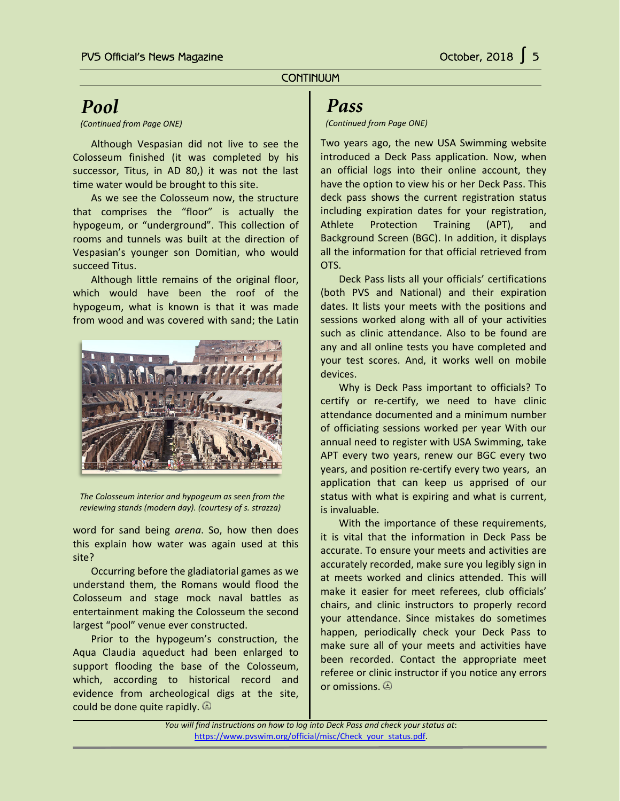### **CONTINUUM**

## *Pool*

<span id="page-4-0"></span>ī

*(Continued from Page ONE)*

Although Vespasian did not live to see the Colosseum finished (it was completed by his successor, Titus, in AD 80,) it was not the last time water would be brought to this site.

As we see the Colosseum now, the structure that comprises the "floor" is actually the hypogeum, or "underground". This collection of rooms and tunnels was built at the direction of Vespasian's younger son Domitian, who would succeed Titus.

Although little remains of the original floor, which would have been the roof of the hypogeum, what is known is that it was made from wood and was covered with sand; the Latin



*The Colosseum interior and hypogeum as seen from the reviewing stands (modern day). (courtesy of s. strazza)*

word for sand being *arena*. So, how then does this explain how water was again used at this site?

Occurring before the gladiatorial games as we understand them, the Romans would flood the Colosseum and stage mock naval battles as entertainment making the Colosseum the second largest "pool" venue ever constructed.

Prior to the hypogeum's construction, the Aqua Claudia aqueduct had been enlarged to support flooding the base of the Colosseum, which, according to historical record and evidence from archeological digs at the site, could be done quite rapidly.

### *Pass*

#### *(Continued from Page ONE)*

Two years ago, the new USA Swimming website introduced a Deck Pass application. Now, when an official logs into their online account, they have the option to view his or her Deck Pass. This deck pass shows the current registration status including expiration dates for your registration, Athlete Protection Training (APT), and Background Screen (BGC). In addition, it displays all the information for that official retrieved from OTS.

Deck Pass lists all your officials' certifications (both PVS and National) and their expiration dates. It lists your meets with the positions and sessions worked along with all of your activities such as clinic attendance. Also to be found are any and all online tests you have completed and your test scores. And, it works well on mobile devices.

Why is Deck Pass important to officials? To certify or re-certify, we need to have clinic attendance documented and a minimum number of officiating sessions worked per year With our annual need to register with USA Swimming, take APT every two years, renew our BGC every two years, and position re-certify every two years, an application that can keep us apprised of our status with what is expiring and what is current, is invaluable.

With the importance of these requirements, it is vital that the information in Deck Pass be accurate. To ensure your meets and activities are accurately recorded, make sure you legibly sign in at meets worked and clinics attended. This will make it easier for meet referees, club officials' chairs, and clinic instructors to properly record your attendance. Since mistakes do sometimes happen, periodically check your Deck Pass to make sure all of your meets and activities have been recorded. Contact the appropriate meet referee or clinic instructor if you notice any errors or omissions.

*You will find instructions on how to log into Deck Pass and check your status at*: [https://www.pvswim.org/official/misc/Check\\_your\\_status.pdf.](https://www.pvswim.org/official/misc/Check_your_status.pdf)